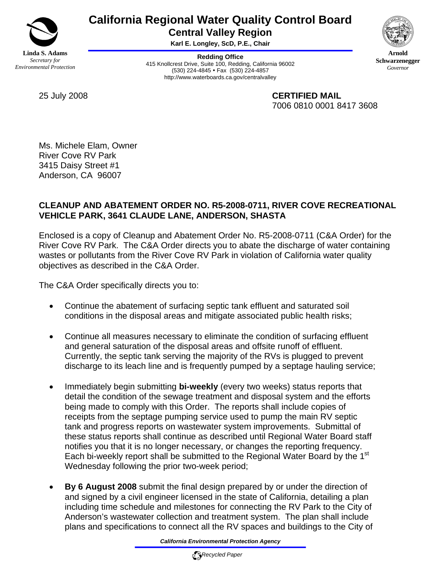

# **California Regional Water Quality Control Board Central Valley Region**

**Karl E. Longley, ScD, P.E., Chair** 

**Redding Office** 415 Knollcrest Drive, Suite 100, Redding, California 96002 (530) 224-4845 • Fax (530) 224-4857 http://www.waterboards.ca.gov/centralvalley



**Arnold Schwarzenegger** *Governor* 

25 July 2008 **CERTIFIED MAIL** 7006 0810 0001 8417 3608

Ms. Michele Elam, Owner River Cove RV Park 3415 Daisy Street #1 Anderson, CA 96007

## **CLEANUP AND ABATEMENT ORDER NO. R5-2008-0711, RIVER COVE RECREATIONAL VEHICLE PARK, 3641 CLAUDE LANE, ANDERSON, SHASTA**

Enclosed is a copy of Cleanup and Abatement Order No. R5-2008-0711 (C&A Order) for the River Cove RV Park. The C&A Order directs you to abate the discharge of water containing wastes or pollutants from the River Cove RV Park in violation of California water quality objectives as described in the C&A Order.

The C&A Order specifically directs you to:

- Continue the abatement of surfacing septic tank effluent and saturated soil conditions in the disposal areas and mitigate associated public health risks;
- Continue all measures necessary to eliminate the condition of surfacing effluent and general saturation of the disposal areas and offsite runoff of effluent. Currently, the septic tank serving the majority of the RVs is plugged to prevent discharge to its leach line and is frequently pumped by a septage hauling service;
- Immediately begin submitting **bi-weekly** (every two weeks) status reports that detail the condition of the sewage treatment and disposal system and the efforts being made to comply with this Order. The reports shall include copies of receipts from the septage pumping service used to pump the main RV septic tank and progress reports on wastewater system improvements. Submittal of these status reports shall continue as described until Regional Water Board staff notifies you that it is no longer necessary, or changes the reporting frequency. Each bi-weekly report shall be submitted to the Regional Water Board by the 1<sup>st</sup> Wednesday following the prior two-week period;
- **By 6 August 2008** submit the final design prepared by or under the direction of and signed by a civil engineer licensed in the state of California, detailing a plan including time schedule and milestones for connecting the RV Park to the City of Anderson's wastewater collection and treatment system. The plan shall include plans and specifications to connect all the RV spaces and buildings to the City of

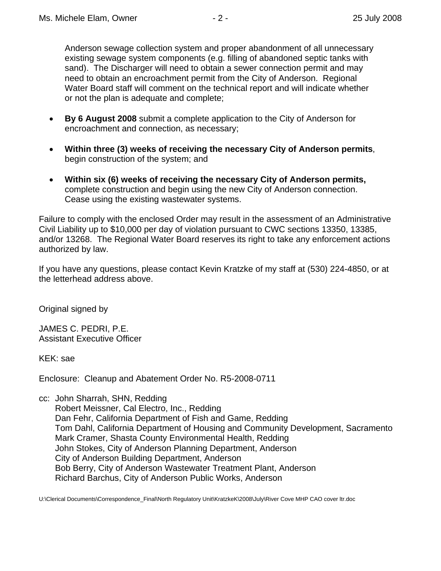Anderson sewage collection system and proper abandonment of all unnecessary existing sewage system components (e.g. filling of abandoned septic tanks with sand). The Discharger will need to obtain a sewer connection permit and may need to obtain an encroachment permit from the City of Anderson. Regional Water Board staff will comment on the technical report and will indicate whether or not the plan is adequate and complete;

- **By 6 August 2008** submit a complete application to the City of Anderson for encroachment and connection, as necessary;
- **Within three (3) weeks of receiving the necessary City of Anderson permits**, begin construction of the system; and
- **Within six (6) weeks of receiving the necessary City of Anderson permits,** complete construction and begin using the new City of Anderson connection. Cease using the existing wastewater systems.

Failure to comply with the enclosed Order may result in the assessment of an Administrative Civil Liability up to \$10,000 per day of violation pursuant to CWC sections 13350, 13385, and/or 13268. The Regional Water Board reserves its right to take any enforcement actions authorized by law.

If you have any questions, please contact Kevin Kratzke of my staff at (530) 224-4850, or at the letterhead address above.

Original signed by

JAMES C. PEDRI, P.E. Assistant Executive Officer

KEK: sae

Enclosure: Cleanup and Abatement Order No. R5-2008-0711

cc: John Sharrah, SHN, Redding

 Robert Meissner, Cal Electro, Inc., Redding Dan Fehr, California Department of Fish and Game, Redding Tom Dahl, California Department of Housing and Community Development, Sacramento Mark Cramer, Shasta County Environmental Health, Redding John Stokes, City of Anderson Planning Department, Anderson City of Anderson Building Department, Anderson Bob Berry, City of Anderson Wastewater Treatment Plant, Anderson Richard Barchus, City of Anderson Public Works, Anderson

U:\Clerical Documents\Correspondence\_Final\North Regulatory Unit\KratzkeK\2008\July\River Cove MHP CAO cover ltr.doc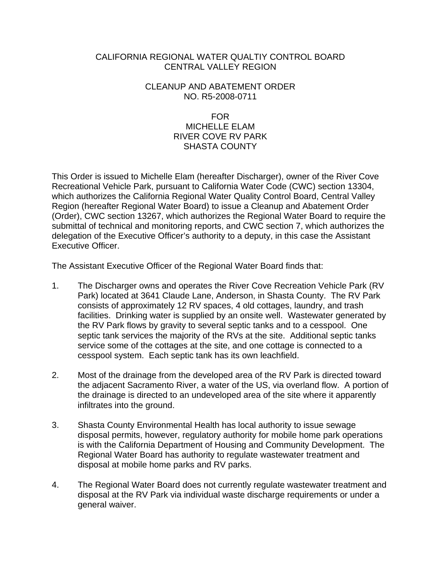## CALIFORNIA REGIONAL WATER QUALTIY CONTROL BOARD CENTRAL VALLEY REGION

### CLEANUP AND ABATEMENT ORDER NO. R5-2008-0711

#### FOR

## MICHELLE ELAM RIVER COVE RV PARK SHASTA COUNTY

This Order is issued to Michelle Elam (hereafter Discharger), owner of the River Cove Recreational Vehicle Park, pursuant to California Water Code (CWC) section 13304, which authorizes the California Regional Water Quality Control Board, Central Valley Region (hereafter Regional Water Board) to issue a Cleanup and Abatement Order (Order), CWC section 13267, which authorizes the Regional Water Board to require the submittal of technical and monitoring reports, and CWC section 7, which authorizes the delegation of the Executive Officer's authority to a deputy, in this case the Assistant Executive Officer.

The Assistant Executive Officer of the Regional Water Board finds that:

- 1. The Discharger owns and operates the River Cove Recreation Vehicle Park (RV Park) located at 3641 Claude Lane, Anderson, in Shasta County. The RV Park consists of approximately 12 RV spaces, 4 old cottages, laundry, and trash facilities. Drinking water is supplied by an onsite well. Wastewater generated by the RV Park flows by gravity to several septic tanks and to a cesspool. One septic tank services the majority of the RVs at the site. Additional septic tanks service some of the cottages at the site, and one cottage is connected to a cesspool system. Each septic tank has its own leachfield.
- 2. Most of the drainage from the developed area of the RV Park is directed toward the adjacent Sacramento River, a water of the US, via overland flow. A portion of the drainage is directed to an undeveloped area of the site where it apparently infiltrates into the ground.
- 3. Shasta County Environmental Health has local authority to issue sewage disposal permits, however, regulatory authority for mobile home park operations is with the California Department of Housing and Community Development. The Regional Water Board has authority to regulate wastewater treatment and disposal at mobile home parks and RV parks.
- 4. The Regional Water Board does not currently regulate wastewater treatment and disposal at the RV Park via individual waste discharge requirements or under a general waiver.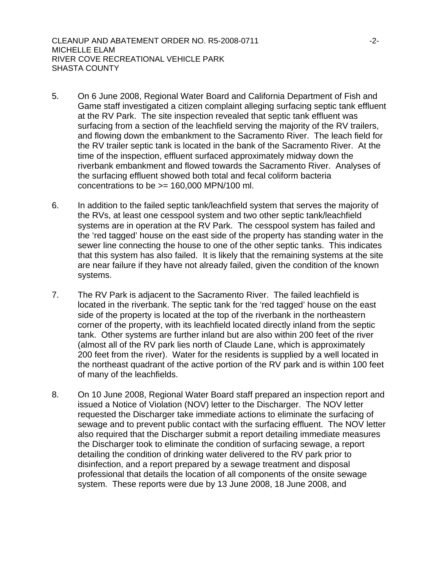- 5. On 6 June 2008, Regional Water Board and California Department of Fish and Game staff investigated a citizen complaint alleging surfacing septic tank effluent at the RV Park. The site inspection revealed that septic tank effluent was surfacing from a section of the leachfield serving the majority of the RV trailers, and flowing down the embankment to the Sacramento River. The leach field for the RV trailer septic tank is located in the bank of the Sacramento River. At the time of the inspection, effluent surfaced approximately midway down the riverbank embankment and flowed towards the Sacramento River. Analyses of the surfacing effluent showed both total and fecal coliform bacteria concentrations to be  $>= 160,000$  MPN/100 ml.
- 6. In addition to the failed septic tank/leachfield system that serves the majority of the RVs, at least one cesspool system and two other septic tank/leachfield systems are in operation at the RV Park. The cesspool system has failed and the 'red tagged' house on the east side of the property has standing water in the sewer line connecting the house to one of the other septic tanks. This indicates that this system has also failed. It is likely that the remaining systems at the site are near failure if they have not already failed, given the condition of the known systems.
- 7. The RV Park is adjacent to the Sacramento River. The failed leachfield is located in the riverbank. The septic tank for the 'red tagged' house on the east side of the property is located at the top of the riverbank in the northeastern corner of the property, with its leachfield located directly inland from the septic tank. Other systems are further inland but are also within 200 feet of the river (almost all of the RV park lies north of Claude Lane, which is approximately 200 feet from the river). Water for the residents is supplied by a well located in the northeast quadrant of the active portion of the RV park and is within 100 feet of many of the leachfields.
- 8. On 10 June 2008, Regional Water Board staff prepared an inspection report and issued a Notice of Violation (NOV) letter to the Discharger. The NOV letter requested the Discharger take immediate actions to eliminate the surfacing of sewage and to prevent public contact with the surfacing effluent. The NOV letter also required that the Discharger submit a report detailing immediate measures the Discharger took to eliminate the condition of surfacing sewage, a report detailing the condition of drinking water delivered to the RV park prior to disinfection, and a report prepared by a sewage treatment and disposal professional that details the location of all components of the onsite sewage system. These reports were due by 13 June 2008, 18 June 2008, and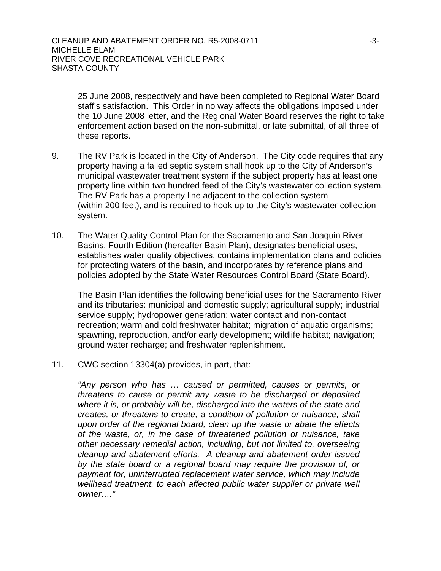25 June 2008, respectively and have been completed to Regional Water Board staff's satisfaction. This Order in no way affects the obligations imposed under the 10 June 2008 letter, and the Regional Water Board reserves the right to take enforcement action based on the non-submittal, or late submittal, of all three of these reports.

- 9. The RV Park is located in the City of Anderson. The City code requires that any property having a failed septic system shall hook up to the City of Anderson's municipal wastewater treatment system if the subject property has at least one property line within two hundred feed of the City's wastewater collection system. The RV Park has a property line adjacent to the collection system (within 200 feet), and is required to hook up to the City's wastewater collection system.
- 10. The Water Quality Control Plan for the Sacramento and San Joaquin River Basins, Fourth Edition (hereafter Basin Plan), designates beneficial uses, establishes water quality objectives, contains implementation plans and policies for protecting waters of the basin, and incorporates by reference plans and policies adopted by the State Water Resources Control Board (State Board).

The Basin Plan identifies the following beneficial uses for the Sacramento River and its tributaries: municipal and domestic supply; agricultural supply; industrial service supply; hydropower generation; water contact and non-contact recreation; warm and cold freshwater habitat; migration of aquatic organisms; spawning, reproduction, and/or early development; wildlife habitat; navigation; ground water recharge; and freshwater replenishment.

11. CWC section 13304(a) provides, in part, that:

*"Any person who has … caused or permitted, causes or permits, or threatens to cause or permit any waste to be discharged or deposited where it is, or probably will be, discharged into the waters of the state and creates, or threatens to create, a condition of pollution or nuisance, shall upon order of the regional board, clean up the waste or abate the effects of the waste, or, in the case of threatened pollution or nuisance, take other necessary remedial action, including, but not limited to, overseeing cleanup and abatement efforts. A cleanup and abatement order issued by the state board or a regional board may require the provision of, or payment for, uninterrupted replacement water service, which may include*  wellhead treatment, to each affected public water supplier or private well *owner…."*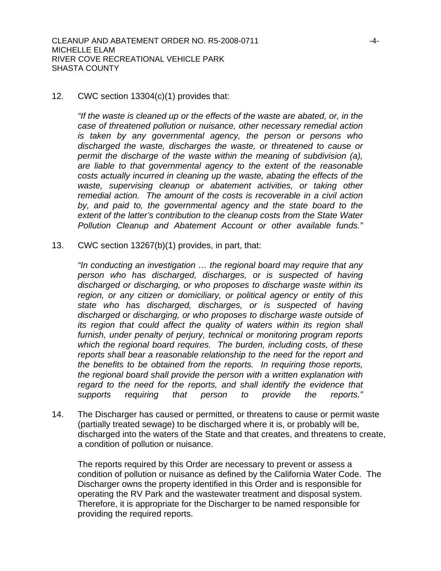### 12. CWC section 13304(c)(1) provides that:

*"If the waste is cleaned up or the effects of the waste are abated, or, in the case of threatened pollution or nuisance, other necessary remedial action is taken by any governmental agency, the person or persons who discharged the waste, discharges the waste, or threatened to cause or permit the discharge of the waste within the meaning of subdivision (a), are liable to that governmental agency to the extent of the reasonable costs actually incurred in cleaning up the waste, abating the effects of the waste, supervising cleanup or abatement activities, or taking other remedial action. The amount of the costs is recoverable in a civil action by, and paid to, the governmental agency and the state board to the extent of the latter's contribution to the cleanup costs from the State Water Pollution Cleanup and Abatement Account or other available funds."* 

13. CWC section 13267(b)(1) provides, in part, that:

*"In conducting an investigation … the regional board may require that any person who has discharged, discharges, or is suspected of having discharged or discharging, or who proposes to discharge waste within its region, or any citizen or domiciliary, or political agency or entity of this state who has discharged, discharges, or is suspected of having discharged or discharging, or who proposes to discharge waste outside of*  its region that could affect the quality of waters within its region shall *furnish, under penalty of perjury, technical or monitoring program reports which the regional board requires. The burden, including costs, of these reports shall bear a reasonable relationship to the need for the report and the benefits to be obtained from the reports. In requiring those reports, the regional board shall provide the person with a written explanation with regard to the need for the reports, and shall identify the evidence that supports requiring that person to provide the reports."* 

14. The Discharger has caused or permitted, or threatens to cause or permit waste (partially treated sewage) to be discharged where it is, or probably will be, discharged into the waters of the State and that creates, and threatens to create, a condition of pollution or nuisance.

The reports required by this Order are necessary to prevent or assess a condition of pollution or nuisance as defined by the California Water Code. The Discharger owns the property identified in this Order and is responsible for operating the RV Park and the wastewater treatment and disposal system. Therefore, it is appropriate for the Discharger to be named responsible for providing the required reports.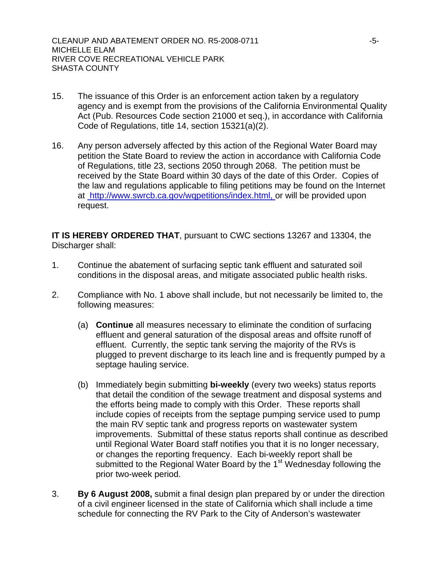- 15. The issuance of this Order is an enforcement action taken by a regulatory agency and is exempt from the provisions of the California Environmental Quality Act (Pub. Resources Code section 21000 et seq.), in accordance with California Code of Regulations, title 14, section 15321(a)(2).
- 16. Any person adversely affected by this action of the Regional Water Board may petition the State Board to review the action in accordance with California Code of Regulations, title 23, sections 2050 through 2068. The petition must be received by the State Board within 30 days of the date of this Order. Copies of the law and regulations applicable to filing petitions may be found on the Internet at<http://www.swrcb.ca.gov/wqpetitions/index.html,>or will be provided upon request.

**IT IS HEREBY ORDERED THAT**, pursuant to CWC sections 13267 and 13304, the Discharger shall:

- 1. Continue the abatement of surfacing septic tank effluent and saturated soil conditions in the disposal areas, and mitigate associated public health risks.
- 2. Compliance with No. 1 above shall include, but not necessarily be limited to, the following measures:
	- (a) **Continue** all measures necessary to eliminate the condition of surfacing effluent and general saturation of the disposal areas and offsite runoff of effluent. Currently, the septic tank serving the majority of the RVs is plugged to prevent discharge to its leach line and is frequently pumped by a septage hauling service.
	- (b) Immediately begin submitting **bi-weekly** (every two weeks) status reports that detail the condition of the sewage treatment and disposal systems and the efforts being made to comply with this Order. These reports shall include copies of receipts from the septage pumping service used to pump the main RV septic tank and progress reports on wastewater system improvements. Submittal of these status reports shall continue as described until Regional Water Board staff notifies you that it is no longer necessary, or changes the reporting frequency. Each bi-weekly report shall be submitted to the Regional Water Board by the 1<sup>st</sup> Wednesday following the prior two-week period.
- 3. **By 6 August 2008,** submit a final design plan prepared by or under the direction of a civil engineer licensed in the state of California which shall include a time schedule for connecting the RV Park to the City of Anderson's wastewater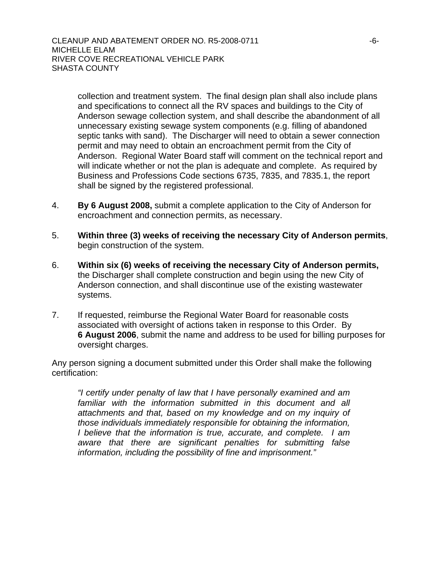collection and treatment system. The final design plan shall also include plans and specifications to connect all the RV spaces and buildings to the City of Anderson sewage collection system, and shall describe the abandonment of all unnecessary existing sewage system components (e.g. filling of abandoned septic tanks with sand). The Discharger will need to obtain a sewer connection permit and may need to obtain an encroachment permit from the City of Anderson. Regional Water Board staff will comment on the technical report and will indicate whether or not the plan is adequate and complete. As required by Business and Professions Code sections 6735, 7835, and 7835.1, the report shall be signed by the registered professional.

- 4. **By 6 August 2008,** submit a complete application to the City of Anderson for encroachment and connection permits, as necessary.
- 5. **Within three (3) weeks of receiving the necessary City of Anderson permits**, begin construction of the system.
- 6. **Within six (6) weeks of receiving the necessary City of Anderson permits,** the Discharger shall complete construction and begin using the new City of Anderson connection, and shall discontinue use of the existing wastewater systems.
- 7. If requested, reimburse the Regional Water Board for reasonable costs associated with oversight of actions taken in response to this Order. By **6 August 2006**, submit the name and address to be used for billing purposes for oversight charges.

Any person signing a document submitted under this Order shall make the following certification:

*"I certify under penalty of law that I have personally examined and am familiar with the information submitted in this document and all attachments and that, based on my knowledge and on my inquiry of those individuals immediately responsible for obtaining the information, I believe that the information is true, accurate, and complete. I am aware that there are significant penalties for submitting false information, including the possibility of fine and imprisonment."*